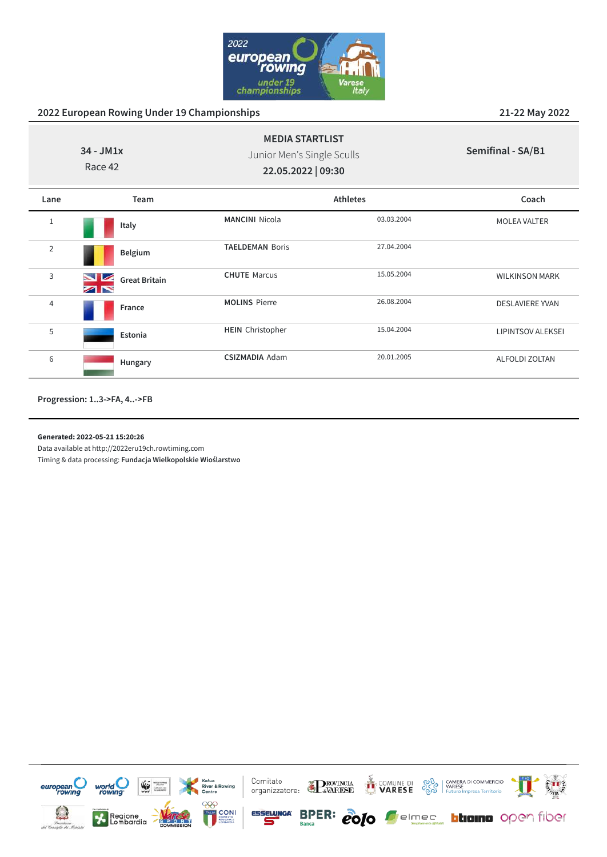

|                | $34 - JM1x$<br>Race 42      | <b>MEDIA STARTLIST</b><br>Junior Men's Single Sculls<br>22.05.2022   09:30 |                 | Semifinal - SA/B1      |
|----------------|-----------------------------|----------------------------------------------------------------------------|-----------------|------------------------|
| Lane           | Team                        |                                                                            | <b>Athletes</b> | Coach                  |
| $\mathbf{1}$   | Italy                       | <b>MANCINI Nicola</b>                                                      | 03.03.2004      | <b>MOLEA VALTER</b>    |
| $\overline{2}$ | Belgium                     | <b>TAELDEMAN Boris</b>                                                     | 27.04.2004      |                        |
| 3              | N Z<br><b>Great Britain</b> | <b>CHUTE Marcus</b>                                                        | 15.05.2004      | <b>WILKINSON MARK</b>  |
| 4              | France                      | <b>MOLINS Pierre</b>                                                       | 26.08.2004      | <b>DESLAVIERE YVAN</b> |
| 5              | Estonia                     | <b>HEIN</b> Christopher                                                    | 15.04.2004      | LIPINTSOV ALEKSEI      |
| 6              | Hungary                     | <b>CSIZMADIA Adam</b>                                                      | 20.01.2005      | ALFOLDI ZOLTAN         |

**Progression: 1..3->FA, 4..->FB**

**Generated: 2022-05-21 15:20:26**

Data available at http://2022eru19ch.rowtiming.com

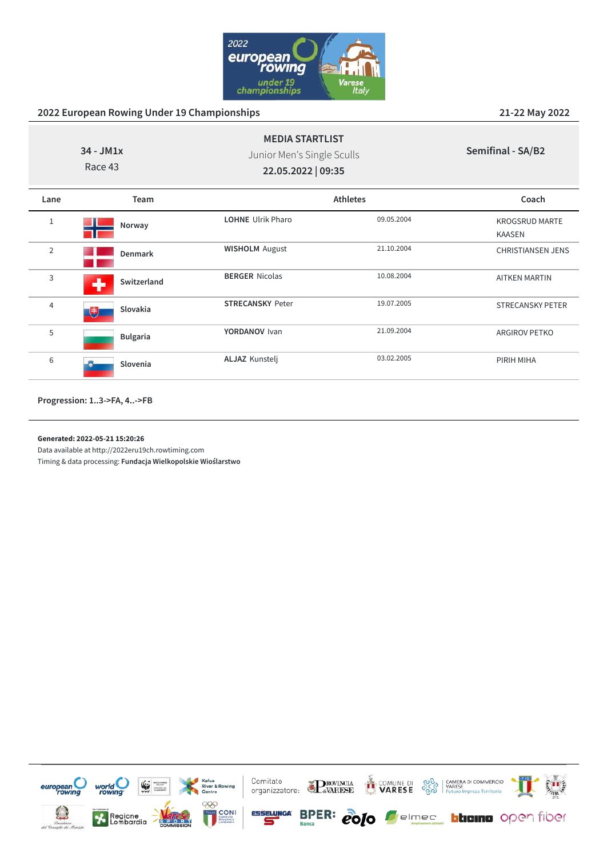

| $34 - JM1x$<br>Race 43 |                  | <b>MEDIA STARTLIST</b><br>Junior Men's Single Sculls<br>22.05.2022   09:35 |                 | Semifinal - SA/B2                      |  |
|------------------------|------------------|----------------------------------------------------------------------------|-----------------|----------------------------------------|--|
| Lane                   | Team             |                                                                            | <b>Athletes</b> | Coach                                  |  |
| 1                      | Norway           | <b>LOHNE</b> Ulrik Pharo                                                   | 09.05.2004      | <b>KROGSRUD MARTE</b><br><b>KAASEN</b> |  |
| $\overline{2}$         | Denmark          | <b>WISHOLM August</b>                                                      | 21.10.2004      | <b>CHRISTIANSEN JENS</b>               |  |
| 3                      | Switzerland<br>٠ | <b>BERGER Nicolas</b>                                                      | 10.08.2004      | <b>AITKEN MARTIN</b>                   |  |
| 4                      | Slovakia<br>随    | <b>STRECANSKY Peter</b>                                                    | 19.07.2005      | <b>STRECANSKY PETER</b>                |  |
| 5                      | <b>Bulgaria</b>  | <b>YORDANOV Ivan</b>                                                       | 21.09.2004      | <b>ARGIROV PETKO</b>                   |  |
| 6                      | Slovenia         | ALJAZ Kunstelj                                                             | 03.02.2005      | PIRIH MIHA                             |  |

**Progression: 1..3->FA, 4..->FB**

**Generated: 2022-05-21 15:20:26**

Data available at http://2022eru19ch.rowtiming.com

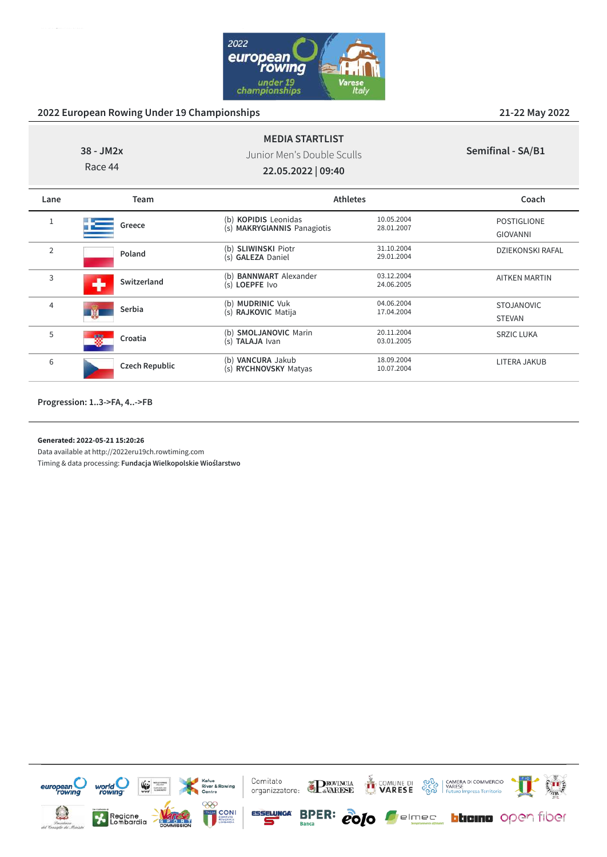

**38 - JM2x** Race 44

Junior Men's Double Sculls **22.05.2022 | 09:40**

**MEDIA STARTLIST**

**Semifinal - SA/B1**

| Lane           | Team                  | <b>Athletes</b>                                     |                          | Coach                              |
|----------------|-----------------------|-----------------------------------------------------|--------------------------|------------------------------------|
|                | Greece                | (b) KOPIDIS Leonidas<br>(s) MAKRYGIANNIS Panagiotis | 10.05.2004<br>28.01.2007 | <b>POSTIGLIONE</b><br>GIOVANNI     |
| $\overline{2}$ | Poland                | (b) SLIWINSKI Piotr<br>(s) GALEZA Daniel            | 31.10.2004<br>29.01.2004 | <b>DZIEKONSKI RAFAL</b>            |
| 3              | Switzerland           | (b) <b>BANNWART</b> Alexander<br>(s) LOEPFE Ivo     | 03.12.2004<br>24.06.2005 | <b>AITKEN MARTIN</b>               |
| $\overline{4}$ | Serbia                | (b) MUDRINIC Vuk<br>(s) RAJKOVIC Matija             | 04.06.2004<br>17.04.2004 | <b>STOJANOVIC</b><br><b>STEVAN</b> |
| 5              | 磱<br>Croatia          | (b) SMOLJANOVIC Marin<br>(s) TALAJA Ivan            | 20.11.2004<br>03.01.2005 | <b>SRZIC LUKA</b>                  |
| 6              | <b>Czech Republic</b> | (b) VANCURA Jakub<br>(s) RYCHNOVSKY Matyas          | 18.09.2004<br>10.07.2004 | LITERA JAKUB                       |

**Progression: 1..3->FA, 4..->FB**

**Generated: 2022-05-21 15:20:26**

Data available at http://2022eru19ch.rowtiming.com

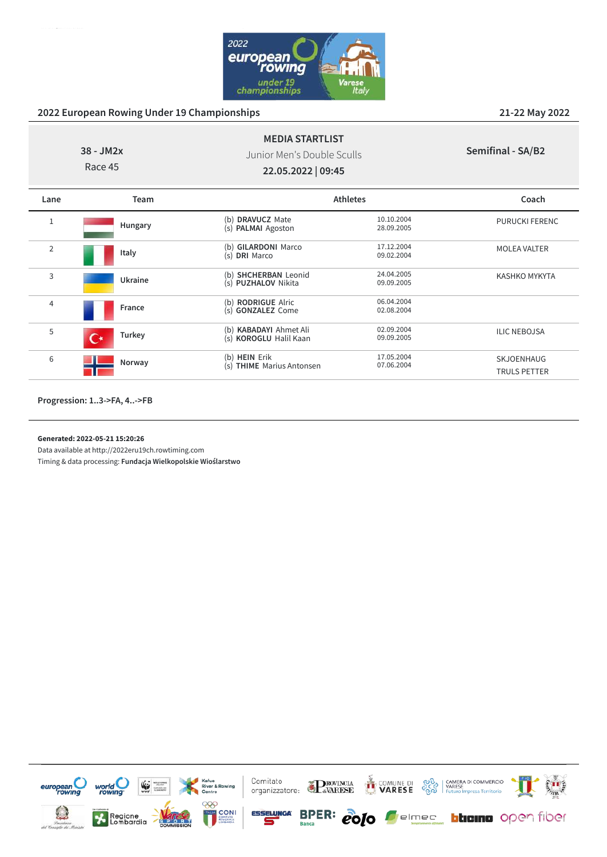

**38 - JM2x** Race 45

**MEDIA STARTLIST** Junior Men's Double Sculls

**Semifinal - SA/B2**

**22.05.2022 | 09:45**

| Lane           | Team    |                                                  | <b>Athletes</b>          | Coach                             |
|----------------|---------|--------------------------------------------------|--------------------------|-----------------------------------|
| $\mathbf{1}$   | Hungary | (b) DRAVUCZ Mate<br>(s) PALMAI Agoston           | 10.10.2004<br>28.09.2005 | <b>PURUCKI FERENC</b>             |
| $\overline{2}$ | Italy   | (b) GILARDONI Marco<br>(s) DRI Marco             | 17.12.2004<br>09.02.2004 | <b>MOLEA VALTER</b>               |
| 3              | Ukraine | (b) SHCHERBAN Leonid<br>(s) PUZHALOV Nikita      | 24.04.2005<br>09.09.2005 | KASHKO MYKYTA                     |
| 4              | France  | (b) RODRIGUE Alric<br>(s) GONZALEZ Come          | 06.04.2004<br>02.08.2004 |                                   |
| 5              | Turkey  | (b) KABADAYI Ahmet Ali<br>(s) KOROGLU Halil Kaan | 02.09.2004<br>09.09.2005 | <b>ILIC NEBOJSA</b>               |
| 6              | Norway  | (b) HEIN Erik<br>(s) THIME Marius Antonsen       | 17.05.2004<br>07.06.2004 | SKJOENHAUG<br><b>TRULS PETTER</b> |

**Progression: 1..3->FA, 4..->FB**

**Generated: 2022-05-21 15:20:26**

Data available at http://2022eru19ch.rowtiming.com

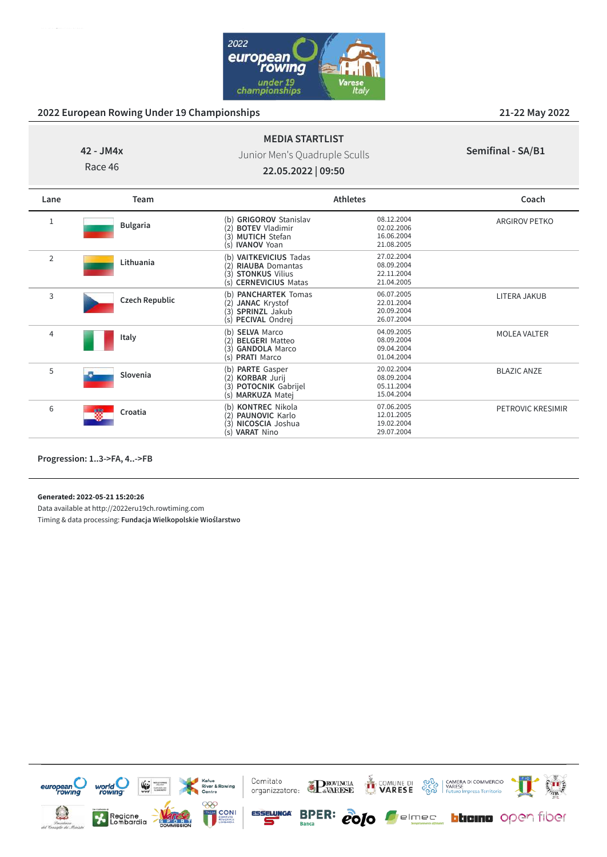

# **42 - JM4x**

Race 46

Junior Men's Quadruple Sculls

**MEDIA STARTLIST**

**Semifinal - SA/B1**

### **22.05.2022 | 09:50**

| Lane           | Team                  |                                                                                                                                     | <b>Athletes</b>                                      | Coach                |
|----------------|-----------------------|-------------------------------------------------------------------------------------------------------------------------------------|------------------------------------------------------|----------------------|
| $\mathbf{1}$   | <b>Bulgaria</b>       | <b>GRIGOROV Stanislav</b><br>(b)<br><b>BOTEV Vladimir</b><br>'2)<br><b>MUTICH Stefan</b><br>(3)<br><b>IVANOV Yoan</b><br>(s)        | 08.12.2004<br>02.02.2006<br>16.06.2004<br>21.08.2005 | <b>ARGIROV PETKO</b> |
| $\overline{2}$ | Lithuania             | <b>VAITKEVICIUS Tadas</b><br>(b)<br><b>RIAUBA</b> Domantas<br>つ)<br><b>STONKUS Vilius</b><br>(3)<br><b>CERNEVICIUS Matas</b><br>(s) | 27.02.2004<br>08.09.2004<br>22.11.2004<br>21.04.2005 |                      |
| 3              | <b>Czech Republic</b> | <b>PANCHARTEK Tomas</b><br>(b)<br><b>JANAC Krystof</b><br>SPRINZL Jakub<br>(3)<br>PECIVAL Ondrej<br>(s)                             | 06.07.2005<br>22.01.2004<br>20.09.2004<br>26.07.2004 | LITERA JAKUB         |
| $\overline{4}$ | Italy                 | <b>SELVA Marco</b><br>(b)<br><b>BELGERI</b> Matteo<br>2)<br>3)<br><b>GANDOLA Marco</b><br><b>PRATI</b> Marco<br>(s)                 | 04.09.2005<br>08.09.2004<br>09.04.2004<br>01.04.2004 | <b>MOLEA VALTER</b>  |
| 5              | Slovenia              | <b>PARTE</b> Gasper<br>(b)<br><b>KORBAR Jurij</b><br>(2)<br><b>POTOCNIK Gabrijel</b><br>(3)<br><b>MARKUZA Matei</b><br>(s)          | 20.02.2004<br>08.09.2004<br>05.11.2004<br>15.04.2004 | <b>BLAZIC ANZE</b>   |
| 6              | Croatia               | <b>KONTREC Nikola</b><br>(b)<br><b>PAUNOVIC Karlo</b><br>(2)<br>NICOSCIA Joshua<br>31<br><b>VARAT Nino</b><br>(S)                   | 07.06.2005<br>12.01.2005<br>19.02.2004<br>29.07.2004 | PETROVIC KRESIMIR    |

**Progression: 1..3->FA, 4..->FB**

**Generated: 2022-05-21 15:20:26** Data available at http://2022eru19ch.rowtiming.com Timing & data processing: **Fundacja Wielkopolskie Wioślarstwo**

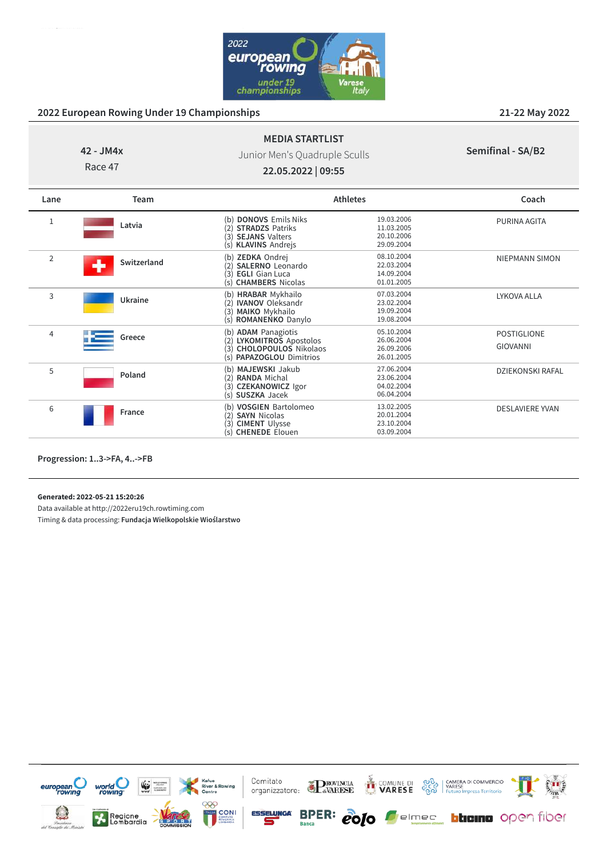

# **42 - JM4x**

Race 47

Junior Men's Quadruple Sculls

**MEDIA STARTLIST**

| Semifinal - SA/B2 |  |
|-------------------|--|
|-------------------|--|

**22.05.2022 | 09:55**

| Lane           | Team        |                                                                                                                            | <b>Athletes</b>                                      | Coach                                 |
|----------------|-------------|----------------------------------------------------------------------------------------------------------------------------|------------------------------------------------------|---------------------------------------|
| 1              | Latvia      | <b>DONOVS Emils Niks</b><br>(b)<br><b>STRADZS Patriks</b><br><b>SEJANS Valters</b><br>(3)<br><b>KLAVINS Andrejs</b><br>(s) | 19.03.2006<br>11.03.2005<br>20.10.2006<br>29.09.2004 | PURINA AGITA                          |
| $\overline{2}$ | Switzerland | <b>ZEDKA Ondrej</b><br>(b)<br>SALERNO Leonardo<br><b>EGLI</b> Gian Luca<br>(3)<br><b>CHAMBERS Nicolas</b><br>(s)           | 08.10.2004<br>22.03.2004<br>14.09.2004<br>01.01.2005 | NIEPMANN SIMON                        |
| 3              | Ukraine     | <b>HRABAR</b> Mykhailo<br>(b)<br><b>IVANOV Oleksandr</b><br>(2)<br><b>MAIKO</b> Mykhailo<br>(3)<br>ROMANENKO Danylo<br>(s) | 07.03.2004<br>23.02.2004<br>19.09.2004<br>19.08.2004 | LYKOVA ALLA                           |
| $\overline{4}$ | Greece      | <b>ADAM</b> Panagiotis<br>(b)<br>LYKOMITROŠ Apostolos<br>(2)<br><b>CHOLOPOULOS Nikolaos</b><br>3)<br>PAPAZOGLOU Dimitrios  | 05.10.2004<br>26.06.2004<br>26.09.2006<br>26.01.2005 | <b>POSTIGLIONE</b><br><b>GIOVANNI</b> |
| 5              | Poland      | MAJEWSKI Jakub<br>(b)<br><b>RANDA</b> Michal<br>(2)<br><b>CZEKANOWICZ Igor</b><br><b>SUSZKA Jacek</b><br>(s)               | 27.06.2004<br>23.06.2004<br>04.02.2004<br>06.04.2004 | <b>DZIEKONSKI RAFAL</b>               |
| 6              | France      | (b) VOSGIEN Bartolomeo<br><b>SAYN Nicolas</b><br>(2)<br><b>CIMENT Ulysse</b><br>(3)<br><b>CHENEDE</b> Elouen<br>(s)        | 13.02.2005<br>20.01.2004<br>23.10.2004<br>03.09.2004 | <b>DESLAVIERE YVAN</b>                |

**Progression: 1..3->FA, 4..->FB**

**Generated: 2022-05-21 15:20:26** Data available at http://2022eru19ch.rowtiming.com Timing & data processing: **Fundacja Wielkopolskie Wioślarstwo**

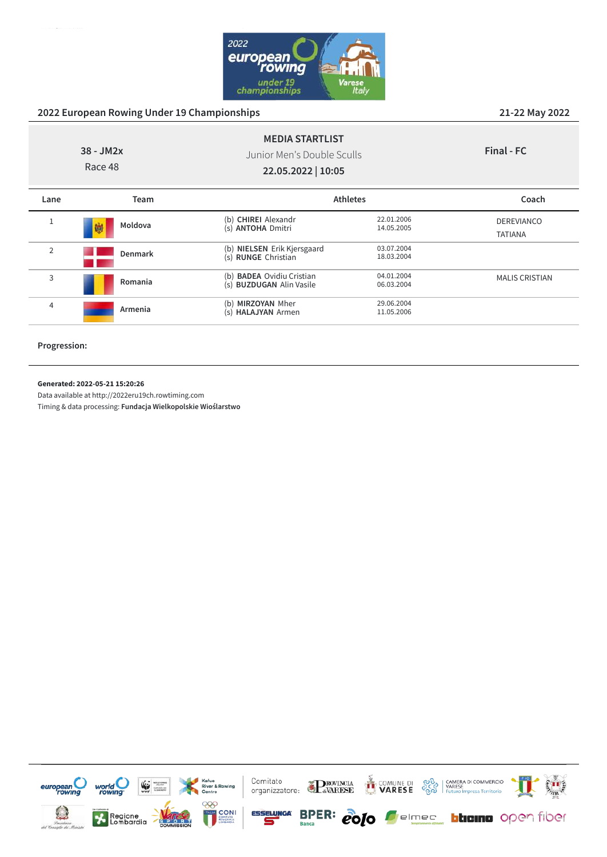

| $38 - JM2x$<br>Race 48 |              | <b>MEDIA STARTLIST</b><br>Junior Men's Double Sculls<br>22.05.2022   10:05 |                          | Final - FC                          |
|------------------------|--------------|----------------------------------------------------------------------------|--------------------------|-------------------------------------|
| Lane                   | <b>Team</b>  |                                                                            | <b>Athletes</b>          | Coach                               |
|                        | Moldova<br>囐 | (b) CHIREI Alexandr<br>(s) ANTOHA Dmitri                                   | 22.01.2006<br>14.05.2005 | <b>DEREVIANCO</b><br><b>TATIANA</b> |
| $\overline{2}$         | Denmark      | (b) NIELSEN Erik Kjersgaard<br>(s) RUNGE Christian                         | 03.07.2004<br>18.03.2004 |                                     |
| 3                      | Romania      | <b>BADEA Ovidiu Cristian</b><br>(b)<br><b>BUZDUGAN Alin Vasile</b><br>(s)  | 04.01.2004<br>06.03.2004 | <b>MALIS CRISTIAN</b>               |

(b) **MIRZOYAN** Mher 29.06.2004 (s) **HALAJYAN** Armen 11.05.2006

**Progression:**

**Generated: 2022-05-21 15:20:26**

<sup>4</sup> **Armenia**

Data available at http://2022eru19ch.rowtiming.com

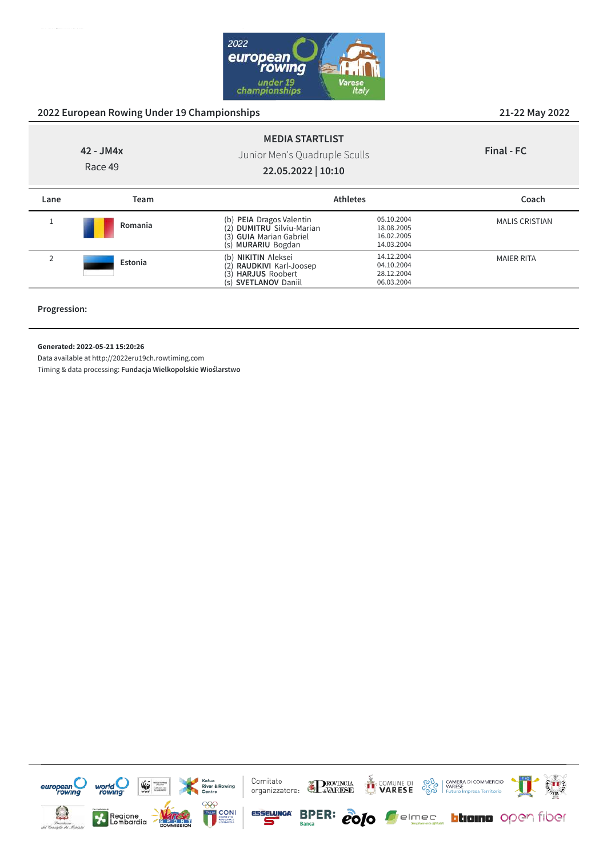

# **42 - JM4x**

Race 49

Junior Men's Quadruple Sculls

**MEDIA STARTLIST**

**Final - FC**

**22.05.2022 | 10:10**

| Lane | Team    |                                                                                                        | <b>Athletes</b>                                      | Coach                 |
|------|---------|--------------------------------------------------------------------------------------------------------|------------------------------------------------------|-----------------------|
|      | Romania | (b) PEIA Dragos Valentin<br>(2) DUMITRU Silviu-Marian<br>(3) GUIA Marian Gabriel<br>(s) MURARIU Bogdan | 05.10.2004<br>18.08.2005<br>16.02.2005<br>14.03.2004 | <b>MALIS CRISTIAN</b> |
|      | Estonia | (b) <b>NIKITIN</b> Aleksei<br>(2) RAUDKIVI Karl-Joosep<br>(3) HARJUS Roobert<br>(s) SVETLANOV Daniil   | 14.12.2004<br>04.10.2004<br>28.12.2004<br>06.03.2004 | <b>MAIER RITA</b>     |

**Progression:**

**Generated: 2022-05-21 15:20:26**

Data available at http://2022eru19ch.rowtiming.com

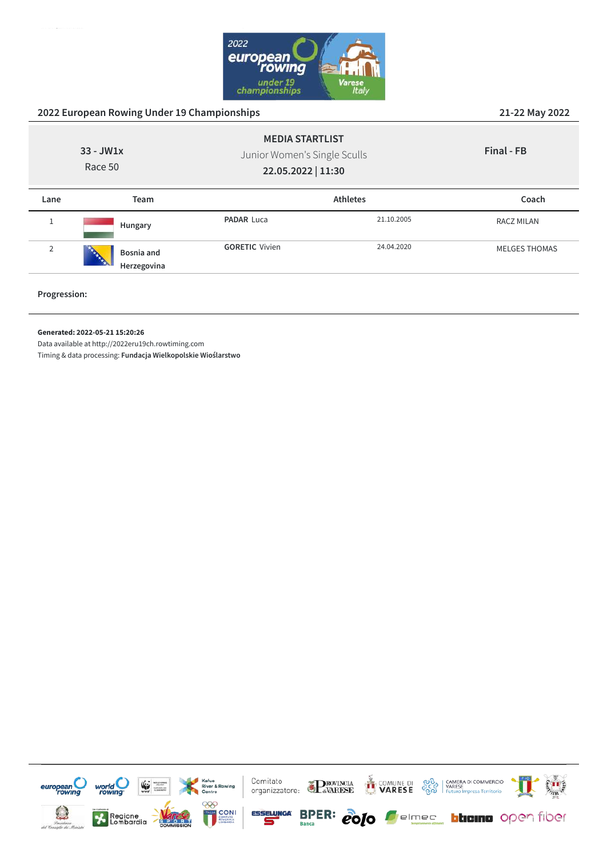

| 2022 European Rowing Under 19 Championships |                           |                                                                              |                 | 21-22 May 2022       |
|---------------------------------------------|---------------------------|------------------------------------------------------------------------------|-----------------|----------------------|
|                                             | $33 - JW1x$<br>Race 50    | <b>MEDIA STARTLIST</b><br>Junior Women's Single Sculls<br>22.05.2022   11:30 |                 |                      |
| Lane                                        | Team                      |                                                                              | <b>Athletes</b> | Coach                |
| $\mathbf{1}$                                | Hungary                   | <b>PADAR Luca</b>                                                            | 21.10.2005      | <b>RACZ MILAN</b>    |
| $\overline{2}$                              | Bosnia and<br>Herzegovina | <b>GORETIC Vivien</b>                                                        | 24.04.2020      | <b>MELGES THOMAS</b> |

**Progression:**

#### **Generated: 2022-05-21 15:20:26**

Data available at http://2022eru19ch.rowtiming.com Timing & data processing: **Fundacja Wielkopolskie Wioślarstwo**

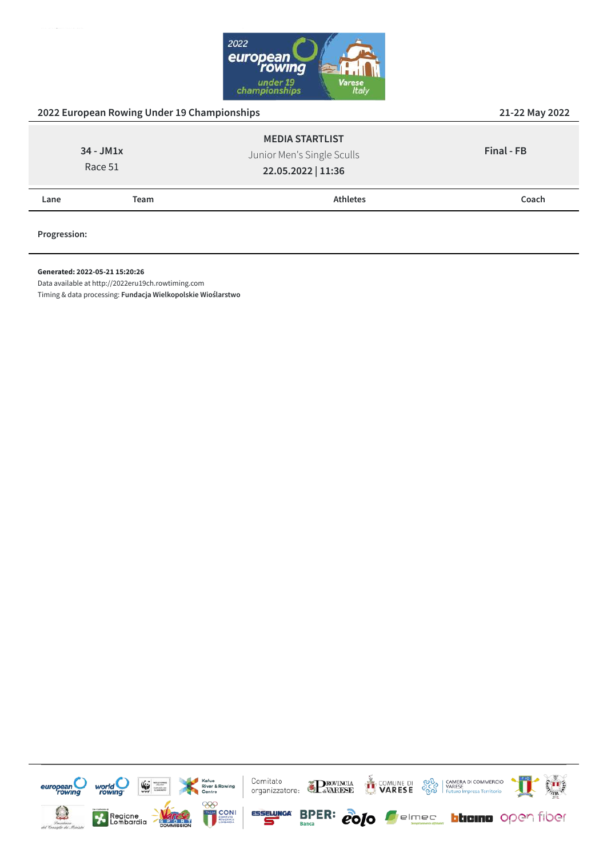

| 2022 European Rowing Under 19 Championships |                        |                                                                            | 21-22 May 2022 |  |
|---------------------------------------------|------------------------|----------------------------------------------------------------------------|----------------|--|
|                                             | $34 - JM1x$<br>Race 51 | <b>MEDIA STARTLIST</b><br>Junior Men's Single Sculls<br>22.05.2022   11:36 | Final - FB     |  |
| Lane                                        | Team                   | <b>Athletes</b>                                                            | Coach          |  |
| Progression:                                |                        |                                                                            |                |  |

Data available at http://2022eru19ch.rowtiming.com

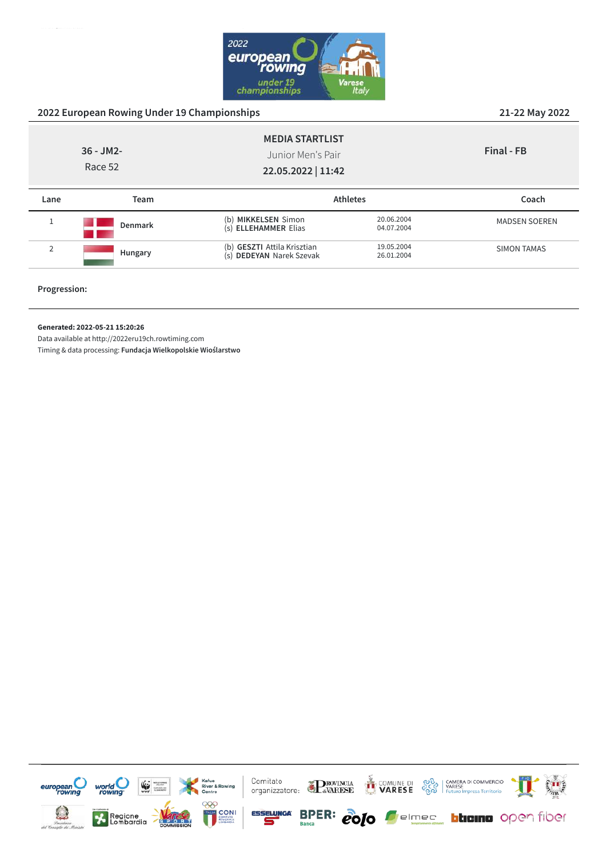

|                    | 2022 European Rowing Under 19 Championships | 21-22 May 2022                                                        |                          |                      |
|--------------------|---------------------------------------------|-----------------------------------------------------------------------|--------------------------|----------------------|
|                    | $36 - JM2$ -<br>Race 52                     | Final - FB                                                            |                          |                      |
| Lane               | Team                                        |                                                                       | <b>Athletes</b>          | Coach                |
| $\mathbf{1}$<br>÷. | Denmark                                     | (b) MIKKELSEN Simon<br>(s) <b>ELLEHAMMER</b> Elias                    | 20.06.2004<br>04.07.2004 | <b>MADSEN SOEREN</b> |
| 2                  | Hungary                                     | (b) <b>GESZTI</b> Attila Krisztian<br>(s) <b>DEDEYAN</b> Narek Szevak | 19.05.2004<br>26.01.2004 | <b>SIMON TAMAS</b>   |

**Progression:**

**Generated: 2022-05-21 15:20:26**

Data available at http://2022eru19ch.rowtiming.com

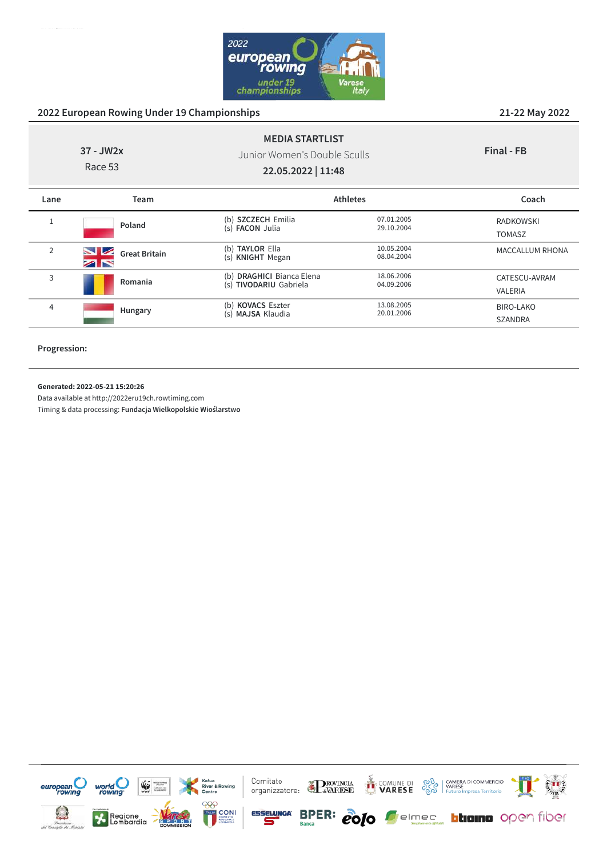

| 37 - JW2x |  |
|-----------|--|
| Race 53   |  |

**MEDIA STARTLIST** Junior Women's Double Sculls

**Final - FB**

**22.05.2022 | 11:48**

| Lane           | Team                                         |                                                               | <b>Athletes</b>          | Coach                       |
|----------------|----------------------------------------------|---------------------------------------------------------------|--------------------------|-----------------------------|
|                | Poland                                       | (b) SZCZECH Emilia<br>(s) <b>FACON</b> Julia                  | 07.01.2005<br>29.10.2004 | RADKOWSKI<br><b>TOMASZ</b>  |
| $\overline{2}$ | $\blacksquare$<br><b>Great Britain</b><br>ZN | <b>TAYLOR Ella</b><br>(b)<br>(s) KNIGHT Megan                 | 10.05.2004<br>08.04.2004 | <b>MACCALLUM RHONA</b>      |
| 3              | Romania                                      | <b>DRAGHICI Bianca Elena</b><br>(b)<br>(s) TIVODARIU Gabriela | 18.06.2006<br>04.09.2006 | CATESCU-AVRAM<br>VALERIA    |
| 4              | Hungary                                      | (b) <b>KOVACS</b> Eszter<br>(s) MAJSA Klaudia                 | 13.08.2005<br>20.01.2006 | BIRO-LAKO<br><b>SZANDRA</b> |

**Progression:**

**Generated: 2022-05-21 15:20:26**

Data available at http://2022eru19ch.rowtiming.com Timing & data processing: **Fundacja Wielkopolskie Wioślarstwo**

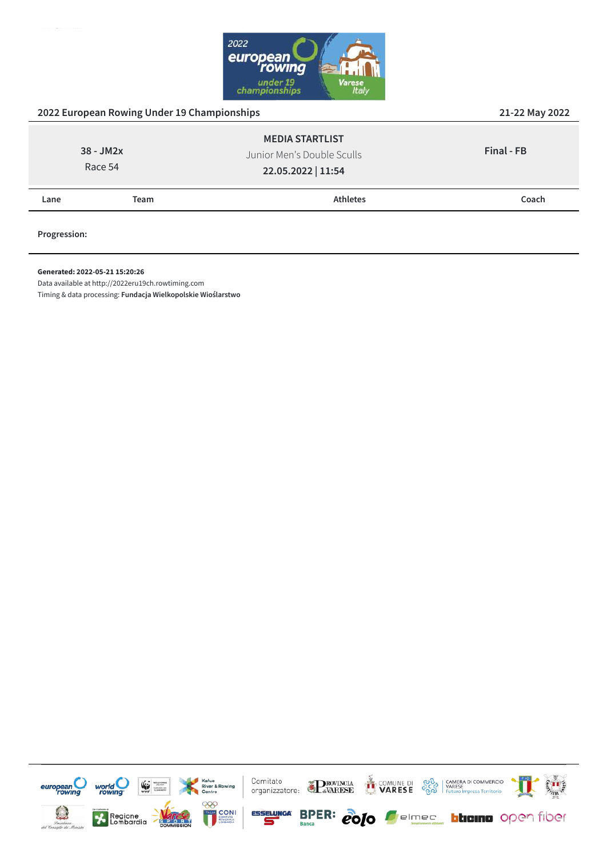

| 2022 European Rowing Under 19 Championships                                                          |      |                 | 21-22 May 2022 |
|------------------------------------------------------------------------------------------------------|------|-----------------|----------------|
| <b>MEDIA STARTLIST</b><br>$38 - JM2x$<br>Junior Men's Double Sculls<br>Race 54<br>22.05.2022   11:54 |      | Final - FB      |                |
| Lane                                                                                                 | Team | <b>Athletes</b> | Coach          |
| Progression:                                                                                         |      |                 |                |

Data available at http://2022eru19ch.rowtiming.com

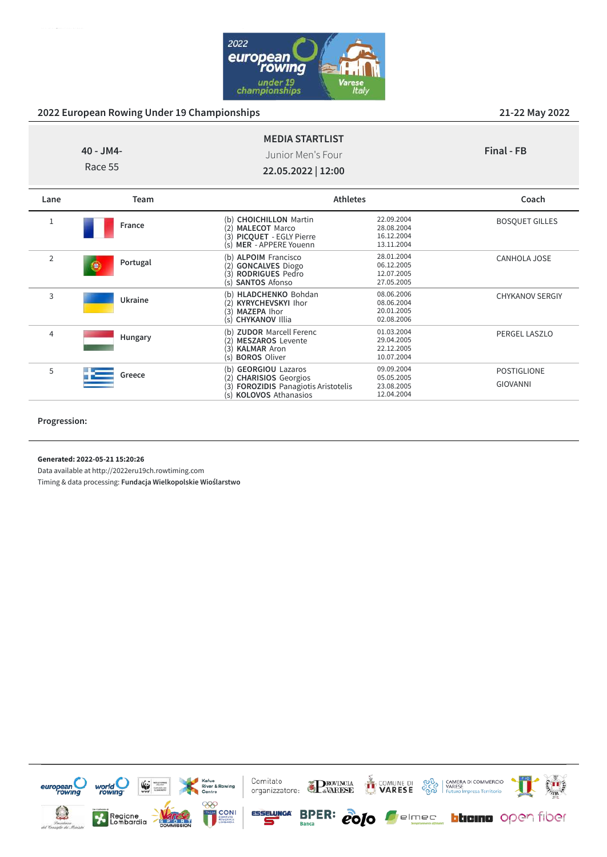

### **40 - JM4- MEDIA STARTLIST** Junior Men's Four

**Final - FB**

Race 55

**22.05.2022 | 12:00**

| Lane           | Team           | <b>Athletes</b>                                                                                                                                |                                                      | Coach                                 |
|----------------|----------------|------------------------------------------------------------------------------------------------------------------------------------------------|------------------------------------------------------|---------------------------------------|
|                | France         | (b) <b>CHOICHILLON</b> Martin<br><b>MALECOT Marco</b><br>(2)<br><b>PICOUET</b> - EGLY Pierre<br>(3)<br><b>MER</b> - APPERE Youenn<br>(s)       | 22.09.2004<br>28.08.2004<br>16.12.2004<br>13.11.2004 | <b>BOSOUET GILLES</b>                 |
| $\overline{2}$ | Portugal<br>Q  | (b) <b>ALPOIM</b> Francisco<br><b>GONCALVES Diogo</b><br>(2)<br><b>RODRIGUES Pedro</b><br>(3)<br><b>SANTOS Afonso</b><br>(s)                   | 28.01.2004<br>06.12.2005<br>12.07.2005<br>27.05.2005 | <b>CANHOLA JOSE</b>                   |
| 3              | <b>Ukraine</b> | HLADCHENKO Bohdan<br>(b)<br><b>KYRYCHEVSKYI Ihor</b><br>(2)<br>(3)<br>MAZEPA Ihor<br><b>CHYKANOV Illia</b><br>(s)                              | 08.06.2006<br>08.06.2004<br>20.01.2005<br>02.08.2006 | <b>CHYKANOV SERGIY</b>                |
| 4              | Hungary        | <b>ZUDOR Marcell Ferenc</b><br>(b)<br><b>MESZAROS Levente</b><br>(2)<br><b>KALMAR Aron</b><br>(3)<br><b>BOROS Oliver</b><br>(s)                | 01.03.2004<br>29.04.2005<br>22.12.2005<br>10.07.2004 | PERGEL LASZLO                         |
| 5              | Greece         | (b) GEORGIOU Lazaros<br><b>CHARISIOS</b> Georgios<br>(2)<br><b>FOROZIDIS</b> Panagiotis Aristotelis<br>(3)<br><b>KOLOVOS Athanasios</b><br>(s) | 09.09.2004<br>05.05.2005<br>23.08.2005<br>12.04.2004 | <b>POSTIGLIONE</b><br><b>GIOVANNI</b> |

**Progression:**

**Generated: 2022-05-21 15:20:26**

Data available at http://2022eru19ch.rowtiming.com

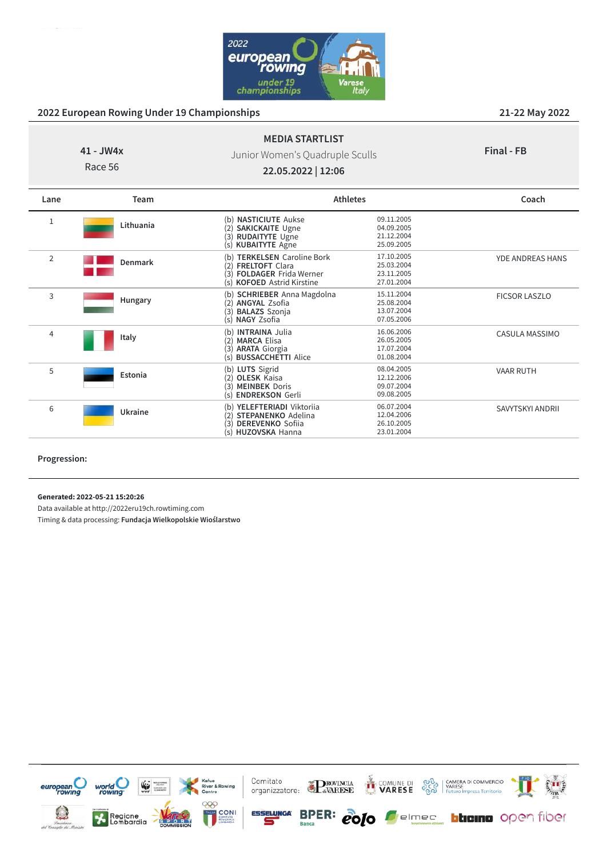

## **41 - JW4x**

Race 56

Junior Women's Quadruple Sculls **22.05.2022 | 12:06**

**MEDIA STARTLIST**

| Final - FB |  |
|------------|--|
|------------|--|

| Lane           | Team           | <b>Athletes</b>                                                                                                                     |                                                      | Coach                |
|----------------|----------------|-------------------------------------------------------------------------------------------------------------------------------------|------------------------------------------------------|----------------------|
| $\mathbf{1}$   | Lithuania      | (b) NASTICIUTE Aukse<br><b>SAKICKAITE Ugne</b><br>(2)<br><b>RUDAITYTE Ugne</b><br>(3)<br><b>KUBAITYTE Agne</b><br>(s)               | 09.11.2005<br>04.09.2005<br>21.12.2004<br>25.09.2005 |                      |
| $\overline{2}$ | <b>Denmark</b> | <b>TERKELSEN</b> Caroline Bork<br>(b)<br><b>FRELTOFT Clara</b><br>(2)<br><b>FOLDAGER Frida Werner</b><br>(s) KOFOED Astrid Kirstine | 17.10.2005<br>25.03.2004<br>23.11.2005<br>27.01.2004 | YDE ANDREAS HANS     |
| 3              | Hungary        | <b>SCHRIEBER</b> Anna Magdolna<br>(b)<br><b>ANGYAL Zsofia</b><br>(2)<br><b>BALAZS</b> Szonja<br>(3)<br>(s) NAGY Zsofia              | 15.11.2004<br>25.08.2004<br>13.07.2004<br>07.05.2006 | <b>FICSOR LASZLO</b> |
| 4              | Italy          | <b>INTRAINA Julia</b><br>(b)<br><b>MARCA Elisa</b><br>(2)<br><b>ARATA</b> Giorgia<br>(3)<br><b>BUSSACCHETTI Alice</b><br>(s)        | 16.06.2006<br>26.05.2005<br>17.07.2004<br>01.08.2004 | CASULA MASSIMO       |
| 5              | Estonia        | (b) LUTS Sigrid<br><b>OLESK Kaisa</b><br><b>MEINBEK Doris</b><br>(3)<br><b>ENDREKSON Gerli</b><br>(s)                               | 08.04.2005<br>12.12.2006<br>09.07.2004<br>09.08.2005 | <b>VAAR RUTH</b>     |
| 6              | Ukraine        | (b) YELEFTERIADI Viktoriia<br><b>STEPANENKO</b> Adelina<br>(2)<br><b>DEREVENKO</b> Sofiia<br>(3)<br>HUZOVSKA Hanna                  | 06.07.2004<br>12.04.2006<br>26.10.2005<br>23.01.2004 | SAVYTSKYI ANDRII     |

**Progression:**

**Generated: 2022-05-21 15:20:26**

Data available at http://2022eru19ch.rowtiming.com

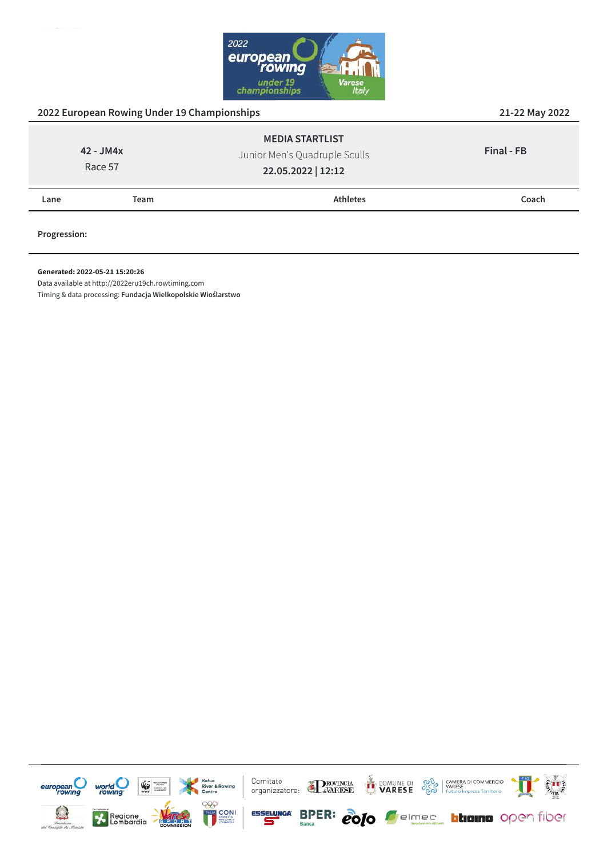

| 2022 European Rowing Under 19 Championships                                                           |      |                 | 21-22 May 2022 |
|-------------------------------------------------------------------------------------------------------|------|-----------------|----------------|
| <b>MEDIA STARTLIST</b><br>42 - JM4x<br>Junior Men's Quadruple Sculls<br>Race 57<br>22.05.2022   12:12 |      |                 | Final - FB     |
| Lane                                                                                                  | Team | <b>Athletes</b> | Coach          |
| Progression:                                                                                          |      |                 |                |

Data available at http://2022eru19ch.rowtiming.com

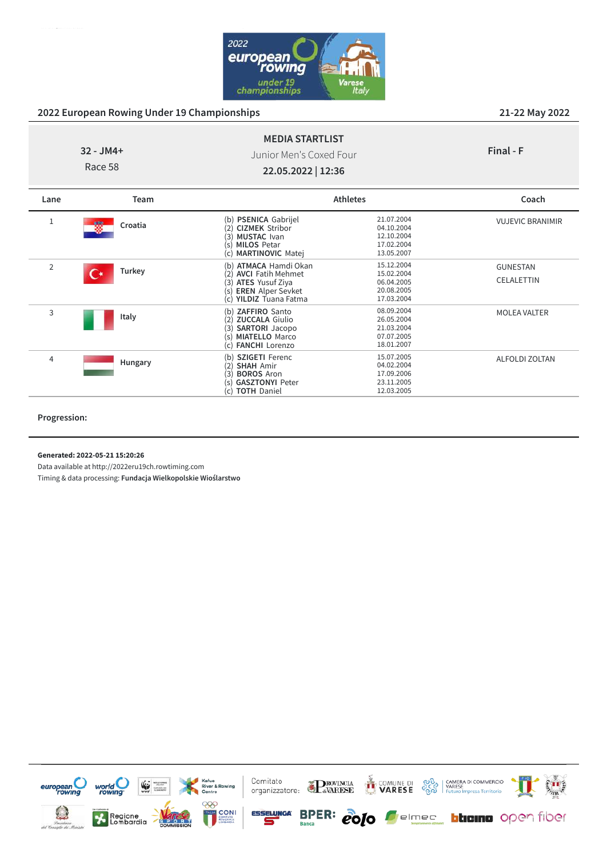

| 32 - JM4+ |  |
|-----------|--|
| Race 58   |  |

Junior Men's Coxed Four

**MEDIA STARTLIST**

**Final - F**

**22.05.2022 | 12:36**

| Lane           | Team          |                                                                                                                                                           | <b>Athletes</b>                                                    | Coach                         |
|----------------|---------------|-----------------------------------------------------------------------------------------------------------------------------------------------------------|--------------------------------------------------------------------|-------------------------------|
| T              | 磱<br>Croatia  | (b) PSENICA Gabrijel<br><b>CIZMEK Stribor</b><br>(2)<br><b>MUSTAC</b> Ivan<br>(3)<br><b>MILOS Petar</b><br>(s)<br><b>MARTINOVIC Matej</b><br>(c)          | 21.07.2004<br>04.10.2004<br>12.10.2004<br>17.02.2004<br>13.05.2007 | <b>VUJEVIC BRANIMIR</b>       |
| $\overline{2}$ | <b>Turkey</b> | (b) ATMACA Hamdi Okan<br><b>AVCI</b> Fatih Mehmet<br>(2)<br><b>ATES</b> Yusuf Ziya<br>(3)<br><b>EREN</b> Alper Sevket<br>(S)<br>YILDIZ Tuana Fatma<br>(c) | 15.12.2004<br>15.02.2004<br>06.04.2005<br>20.08.2005<br>17.03.2004 | <b>GUNESTAN</b><br>CELALETTIN |
| 3              | Italy         | (b) ZAFFIRO Santo<br><b>ZUCCALA Giulio</b><br>(2)<br>SARTORI Jacopo<br>(3)<br><b>MIATELLO Marco</b><br>(S)<br><b>FANCHI</b> Lorenzo<br>(c)                | 08.09.2004<br>26.05.2004<br>21.03.2004<br>07.07.2005<br>18.01.2007 | <b>MOLEA VALTER</b>           |
| $\overline{4}$ | Hungary       | (b) SZIGETI Ferenc<br><b>SHAH Amir</b><br>(2)<br><b>BOROS Aron</b><br>(3)<br><b>GASZTONYI Peter</b><br>s)<br><b>TOTH Daniel</b><br>(c)                    | 15.07.2005<br>04.02.2004<br>17.09.2006<br>23.11.2005<br>12.03.2005 | <b>ALFOLDI ZOLTAN</b>         |

**Progression:**

**Generated: 2022-05-21 15:20:26**

Data available at http://2022eru19ch.rowtiming.com

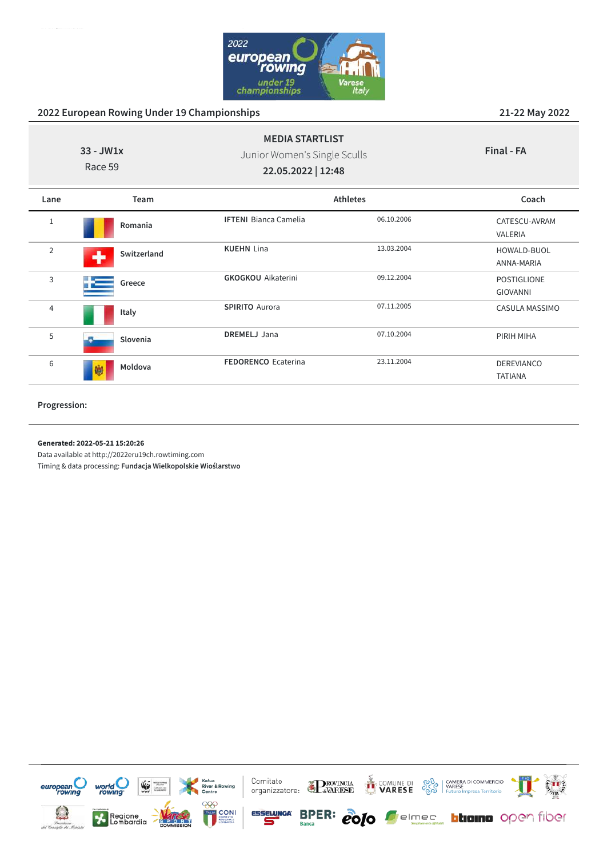

| $33 - JW1x$<br>Race 59 |                  | <b>MEDIA STARTLIST</b><br>Junior Women's Single Sculls<br>22.05.2022   12:48 |                 | Final - FA                            |
|------------------------|------------------|------------------------------------------------------------------------------|-----------------|---------------------------------------|
| Lane                   | Team             |                                                                              | <b>Athletes</b> | Coach                                 |
| 1                      | Romania          | <b>IFTENI</b> Bianca Camelia                                                 | 06.10.2006      | CATESCU-AVRAM<br>VALERIA              |
| $\overline{2}$         | Switzerland<br>┻ | <b>KUEHN Lina</b>                                                            | 13.03.2004      | HOWALD-BUOL<br>ANNA-MARIA             |
| 3                      | Greece           | <b>GKOGKOU</b> Aikaterini                                                    | 09.12.2004      | <b>POSTIGLIONE</b><br><b>GIOVANNI</b> |
| 4                      | Italy            | <b>SPIRITO</b> Aurora                                                        | 07.11.2005      | CASULA MASSIMO                        |
| 5                      | Slovenia         | DREMELJ Jana                                                                 | 07.10.2004      | PIRIH MIHA                            |
| 6                      | Moldova<br>卿     | FEDORENCO Ecaterina                                                          | 23.11.2004      | <b>DEREVIANCO</b><br><b>TATIANA</b>   |

**Progression:**

#### **Generated: 2022-05-21 15:20:26**

Data available at http://2022eru19ch.rowtiming.com Timing & data processing: **Fundacja Wielkopolskie Wioślarstwo**

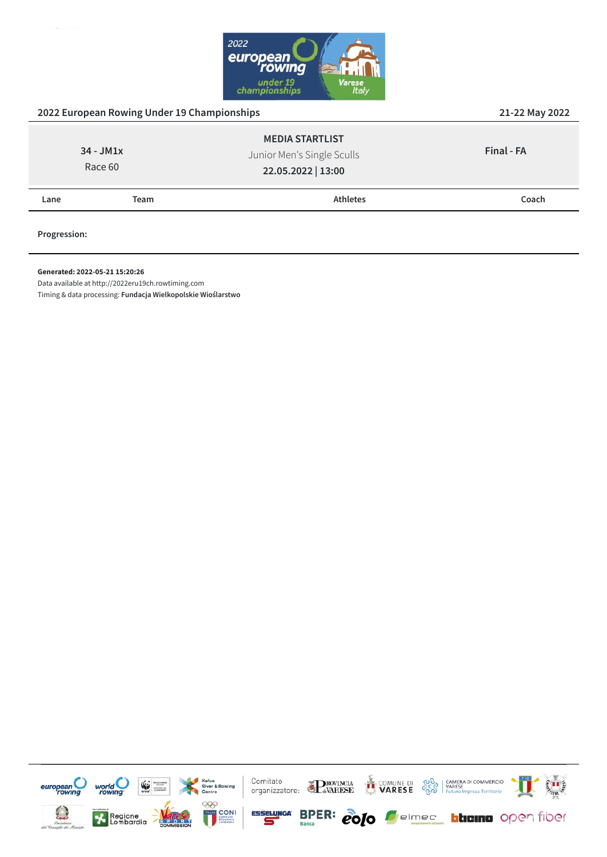

| 2022 European Rowing Under 19 Championships                                                          |      |                 | 21-22 May 2022 |  |  |
|------------------------------------------------------------------------------------------------------|------|-----------------|----------------|--|--|
| <b>MEDIA STARTLIST</b><br>$34 - JM1x$<br>Junior Men's Single Sculls<br>Race 60<br>22.05.2022   13:00 |      | Final - FA      |                |  |  |
| Lane                                                                                                 | Team | <b>Athletes</b> | Coach          |  |  |
| Progression:                                                                                         |      |                 |                |  |  |

Data available at http://2022eru19ch.rowtiming.com

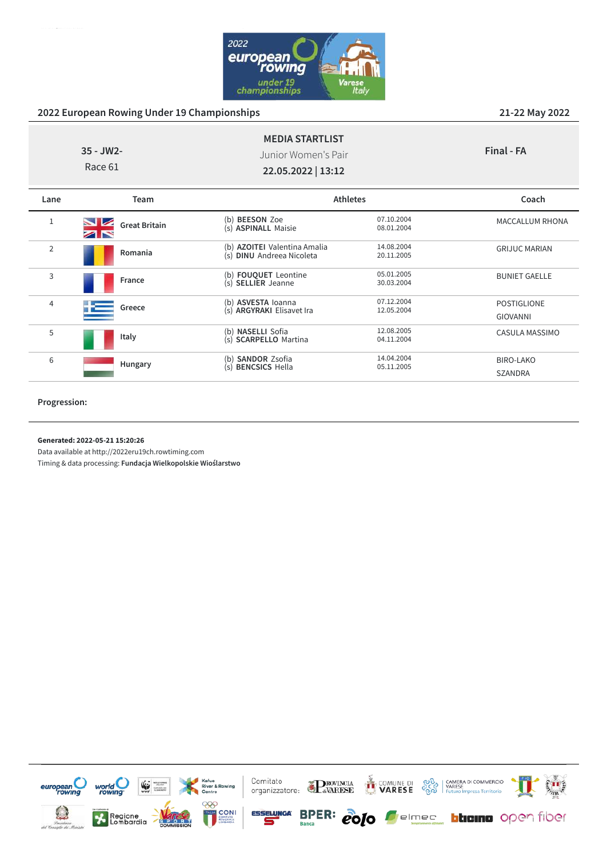

BIRO-LAKO SZANDRA

|                | $35 - JW2 -$<br>Race 61    | <b>MEDIA STARTLIST</b><br>Junior Women's Pair<br>22.05.2022   13:12 |                          | Final - FA                     |
|----------------|----------------------------|---------------------------------------------------------------------|--------------------------|--------------------------------|
| Lane           | Team                       | <b>Athletes</b>                                                     |                          | Coach                          |
| $\mathbf{1}$   | NZ<br><b>Great Britain</b> | (b) <b>BEESON</b> Zoe<br>(s) <b>ASPINALL</b> Maisie                 | 07.10.2004<br>08.01.2004 | <b>MACCALLUM RHONA</b>         |
| $\overline{2}$ | Romania                    | (b) <b>AZOITEI</b> Valentina Amalia<br>(s) DINU Andreea Nicoleta    | 14.08.2004<br>20.11.2005 | <b>GRIJUC MARIAN</b>           |
| 3              | France                     | (b) <b>FOUQUET</b> Leontine<br>(s) SELLIER Jeanne                   | 05.01.2005<br>30.03.2004 | <b>BUNIET GAELLE</b>           |
| $\overline{4}$ | Greece                     | (b) ASVESTA Ioanna<br>(s) ARGYRAKI Elisavet Ira                     | 07.12.2004<br>12.05.2004 | POSTIGLIONE<br><b>GIOVANNI</b> |
| 5              | Italy                      | (b) NASELLI Sofia                                                   | 12.08.2005<br>0.1110001  | CASULA MASSIMO                 |

(s) **SCARPELLO** Martina 04.11.2004

(b) **SANDOR** Zsofia 14.04.2004 (s) **BENCSICS** Hella 05.11.2005

#### **Progression:**

**Generated: 2022-05-21 15:20:26**

<sup>6</sup> **Hungary**

Data available at http://2022eru19ch.rowtiming.com

**Italy**

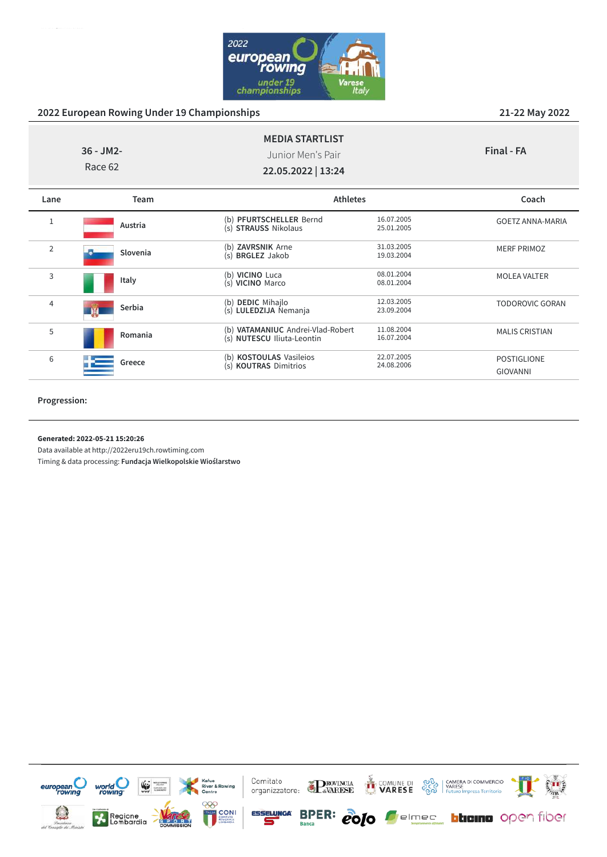

|                | 36 - JM2-<br>Race 62 | <b>MEDIA STARTLIST</b><br>Junior Men's Pair<br>22.05.2022   13:24 |                          | Final - FA                     |
|----------------|----------------------|-------------------------------------------------------------------|--------------------------|--------------------------------|
| Lane           | Team                 | <b>Athletes</b>                                                   |                          | Coach                          |
| $\mathbf{1}$   | Austria              | (b) PFURTSCHELLER Bernd<br>(s) STRAUSS Nikolaus                   | 16.07.2005<br>25.01.2005 | <b>GOETZ ANNA-MARIA</b>        |
| $\overline{2}$ | Slovenia             | (b) ZAVRSNIK Arne<br>(s) <b>BRGLEZ</b> Jakob                      | 31.03.2005<br>19.03.2004 | <b>MERF PRIMOZ</b>             |
| 3              | Italy                | (b) VICINO Luca<br>(s) VICINO Marco                               | 08.01.2004<br>08.01.2004 | <b>MOLEA VALTER</b>            |
| 4              | Serbia<br>LW.        | (b) DEDIC Mihajlo<br>(s) LULEDZIJA Nemanja                        | 12.03.2005<br>23.09.2004 | <b>TODOROVIC GORAN</b>         |
| 5              | Romania              | (b) VATAMANIUC Andrei-Vlad-Robert<br>(s) NUTESCU Iliuta-Leontin   | 11.08.2004<br>16.07.2004 | <b>MALIS CRISTIAN</b>          |
| 6              | Greece               | (b) KOSTOULAS Vasileios<br>(s) KOUTRAS Dimitrios                  | 22.07.2005<br>24.08.2006 | POSTIGLIONE<br><b>GIOVANNI</b> |

### **Progression:**

**Generated: 2022-05-21 15:20:26**

Data available at http://2022eru19ch.rowtiming.com

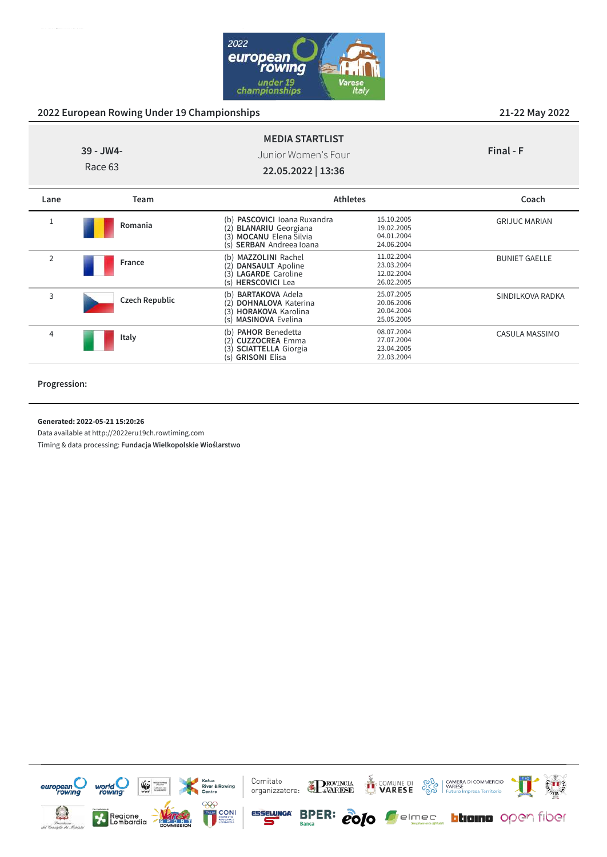

SINDILKOVA RADKA

CASULA MASSIMO

|      | 39 - JW4-<br>Race 63 | <b>MEDIA STARTLIST</b><br>Junior Women's Four<br>22.05.2022   13:36                                                                      |                                                      | Final - F            |
|------|----------------------|------------------------------------------------------------------------------------------------------------------------------------------|------------------------------------------------------|----------------------|
| Lane | <b>Team</b>          | <b>Athletes</b>                                                                                                                          |                                                      | Coach                |
|      | Romania              | (b) PASCOVICI Ioana Ruxandra<br><b>BLANARIU</b> Georgiana<br>(2)<br><b>MOCANU</b> Elena Silvia<br>(3)<br>(s) <b>SERBAN</b> Andreea Ioana | 15.10.2005<br>19.02.2005<br>04.01.2004<br>24.06.2004 | <b>GRIJUC MARIAN</b> |
| 2    | France               | (b) MAZZOLINI Rachel<br><b>DANSAULT</b> Apoline<br>(2)<br>$(2)$ LACADDE Carolina                                                         | 11.02.2004<br>23.03.2004<br>12.02.2004               | <b>BUNIET GAELLE</b> |

(s) **HERSCOVICI** Lea 26.02.2005

(s) **MASINOVA** Evelina 25.05.2005

(3) **LAGARDE** Caroline 12.02.2004<br>
(5) **HERSCOVICI** Lea 26.02.2005

(b) **BARTAKOVA** Adela 25.07.2005<br>
(2) **DOHNALOVA** Katerina 20.06.2006 (2) **DOHNALOVA** Katerina 20.06.2006 (3) **HORAKOVA** Karolina 20.04.2004<br>
(5) **MASINOVA** Evelina 25.05.2005

(b) **PAHOR** Benedetta 08.07.2004 (2) **CUZZOCREA** Emma 27.07.2004 (3) **SCIATTELLA** Giorgia 23.04.2005 (s) **GRISONI** Elisa 22.03.2004

### **Generated: 2022-05-21 15:20:26**

4

**Progression:**

<sup>3</sup> **Czech Republic**

**Italy**

Data available at http://2022eru19ch.rowtiming.com Timing & data processing: **Fundacja Wielkopolskie Wioślarstwo**

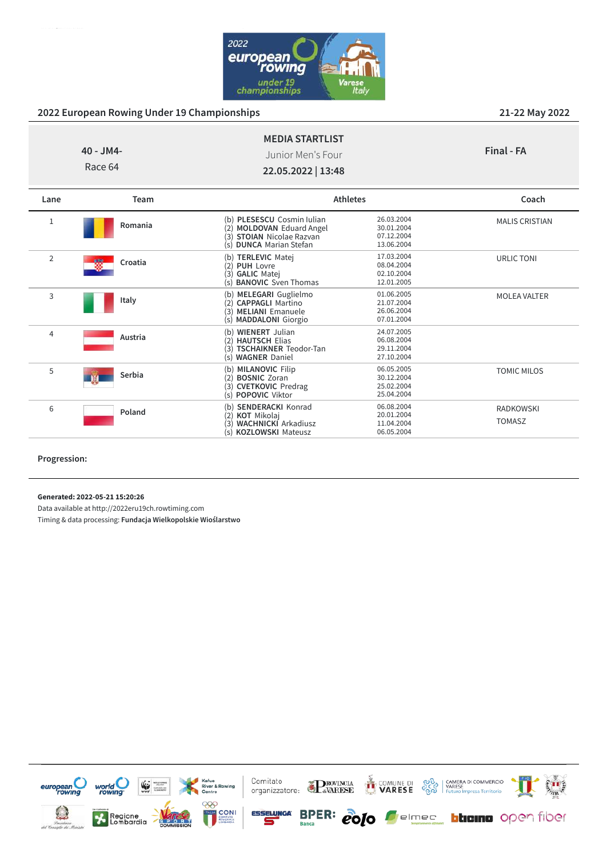

#### **40 - JM4- MEDIA STARTLIST** Junior Men's Four

**Final - FA**

Race 64

**22.05.2022 | 13:48**

| Lane           | Team         | <b>Athletes</b>                                                                                                               |                                                      | Coach                             |
|----------------|--------------|-------------------------------------------------------------------------------------------------------------------------------|------------------------------------------------------|-----------------------------------|
| 1              | Romania      | (b) PLESESCU Cosmin Iulian<br>(2) MOLDOVAN Eduard Angel<br><b>STOIAN Nicolae Razvan</b><br>(3)<br><b>DUNCA Marian Stefan</b>  | 26.03.2004<br>30.01.2004<br>07.12.2004<br>13.06.2004 | <b>MALIS CRISTIAN</b>             |
| $\overline{2}$ | 磷<br>Croatia | <b>TERLEVIC Matej</b><br>(b)<br><b>PUH Lovre</b><br>(2)<br><b>GALIC Matej</b><br>(3)<br><b>BANOVIC</b> Sven Thomas<br>(s)     | 17.03.2004<br>08.04.2004<br>02.10.2004<br>12.01.2005 | URLIC TONI                        |
| 3              | Italy        | MELEGARI Guglielmo<br>(b)<br><b>CAPPAGLI Martino</b><br><b>MELIANI</b> Emanuele<br>3)<br><b>MADDALONI</b> Giorgio             | 01.06.2005<br>21.07.2004<br>26.06.2004<br>07.01.2004 | <b>MOLEA VALTER</b>               |
| $\overline{4}$ | Austria      | <b>WIENERT</b> Julian<br>(b)<br><b>HAUTSCH Elias</b><br><b>TSCHAIKNER Teodor-Tan</b><br>(3)<br><b>WAGNER Daniel</b><br>(s)    | 24.07.2005<br>06.08.2004<br>29.11.2004<br>27.10.2004 |                                   |
| 5              | Serbia       | <b>MILANOVIC Filip</b><br>(b)<br><b>BOSNIC Zoran</b><br>(2)<br><b>CVETKOVIC</b> Predrag<br>3)<br>POPOVIC Viktor<br>(s)        | 06.05.2005<br>30.12.2004<br>25.02.2004<br>25.04.2004 | <b>TOMIC MILOS</b>                |
| 6              | Poland       | <b>SENDERACKI Konrad</b><br>(b)<br><b>KOT</b> Mikolaj<br>(2)<br><b>WACHNICKI</b> Arkadiusz<br>(3)<br><b>KOZLOWSKI Mateusz</b> | 06.08.2004<br>20.01.2004<br>11.04.2004<br>06.05.2004 | <b>RADKOWSKI</b><br><b>TOMASZ</b> |

**Progression:**

**Generated: 2022-05-21 15:20:26**

Data available at http://2022eru19ch.rowtiming.com

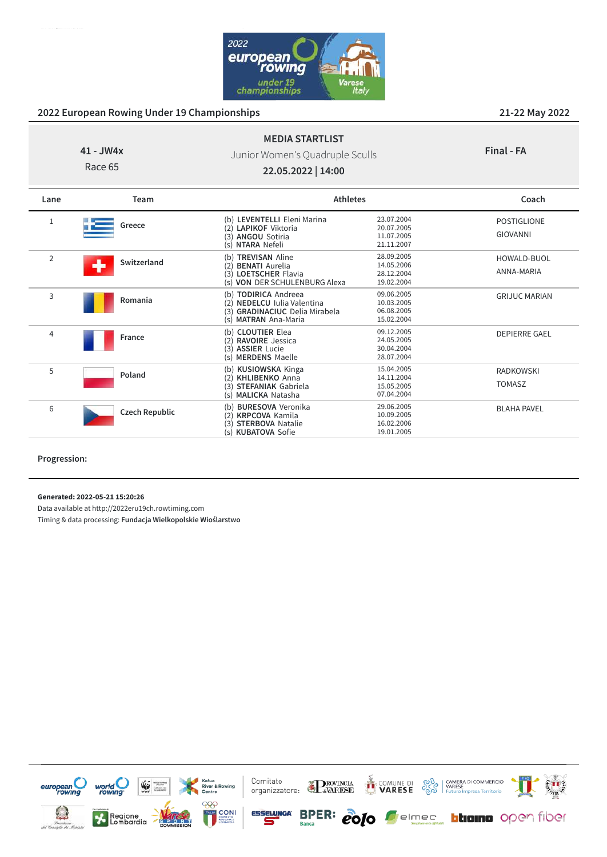

**Final - FA**

### **41 - JW4x**

Race 65

Junior Women's Quadruple Sculls **22.05.2022 | 14:00**

**MEDIA STARTLIST**

| Lane           | Team                  | <b>Athletes</b>                                                                                                                                       |                                                      | Coach                                 |
|----------------|-----------------------|-------------------------------------------------------------------------------------------------------------------------------------------------------|------------------------------------------------------|---------------------------------------|
| 1              | Greece                | (b) LEVENTELLI Eleni Marina<br>(2) LAPIKOF Viktoria<br>(3) ANGOU Sotiria<br>(s) NTARA Nefeli                                                          | 23.07.2004<br>20.07.2005<br>11.07.2005<br>21.11.2007 | <b>POSTIGLIONE</b><br><b>GIOVANNI</b> |
| $\overline{2}$ | Switzerland           | <b>TREVISAN Aline</b><br>(b)<br><b>BENATI</b> Aurelia<br>(2)<br><b>LOETSCHER Flavia</b><br>(3)<br><b>VON DER SCHULENBURG Alexa</b><br>(s)             | 28.09.2005<br>14.05.2006<br>28.12.2004<br>19.02.2004 | HOWALD-BUOL<br>ANNA-MARIA             |
| 3              | Romania               | <b>TODIRICA Andreea</b><br>(b)<br><b>NEDELCU</b> Iulia Valentina<br>(2)<br><b>GRADINACIUC</b> Delia Mirabela<br>(3)<br><b>MATRAN</b> Ana-Maria<br>(s) | 09.06.2005<br>10.03.2005<br>06.08.2005<br>15.02.2004 | <b>GRIJUC MARIAN</b>                  |
| $\overline{4}$ | France                | (b) CLOUTIER Elea<br><b>RAVOIRE</b> Jessica<br>(2)<br>(3) ASSIER Lucie<br>(s) MERDENS Maelle                                                          | 09.12.2005<br>24.05.2005<br>30.04.2004<br>28.07.2004 | <b>DEPIERRE GAEL</b>                  |
| 5              | Poland                | (b) KUSIOWSKA Kinga<br><b>KHLIBENKO Anna</b><br>(2)<br><b>STEFANIAK Gabriela</b><br>(3)<br>(s) MALICKA Natasha                                        | 15.04.2005<br>14.11.2004<br>15.05.2005<br>07.04.2004 | <b>RADKOWSKI</b><br><b>TOMASZ</b>     |
| 6              | <b>Czech Republic</b> | <b>BURESOVA Veronika</b><br>(h)<br>(2) KRPCOVA Kamila<br><b>STERBOVA Natalie</b><br>(3)<br><b>KUBATOVA Sofie</b><br>(s)                               | 29.06.2005<br>10.09.2005<br>16.02.2006<br>19.01.2005 | <b>BLAHA PAVEL</b>                    |

**Progression:**

**Generated: 2022-05-21 15:20:26**

Data available at http://2022eru19ch.rowtiming.com

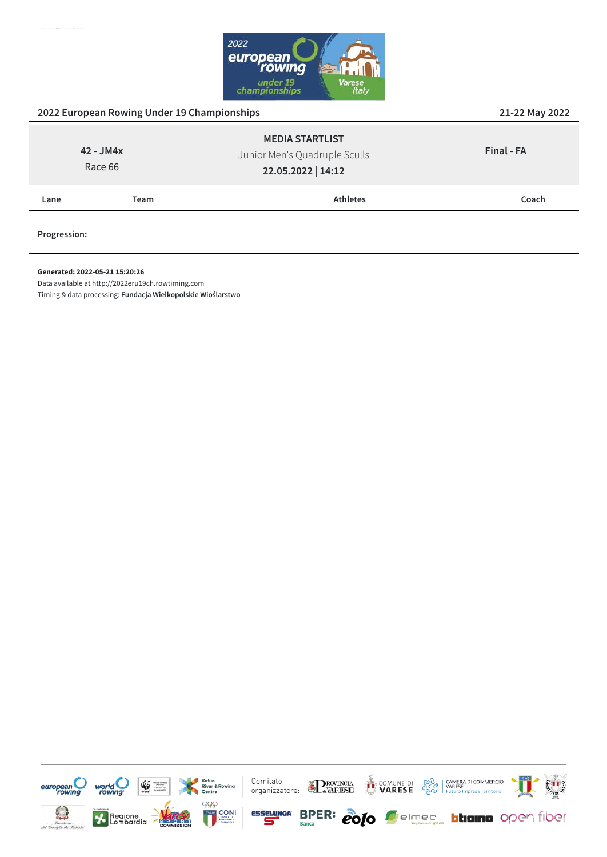

|              | 2022 European Rowing Under 19 Championships |                                                                               | 21-22 May 2022 |
|--------------|---------------------------------------------|-------------------------------------------------------------------------------|----------------|
|              | $42 - JMAx$<br>Race 66                      | <b>MEDIA STARTLIST</b><br>Junior Men's Quadruple Sculls<br>22.05.2022   14:12 | Final - FA     |
| Lane         | Team                                        | <b>Athletes</b>                                                               | Coach          |
| Progression: |                                             |                                                                               |                |

Data available at http://2022eru19ch.rowtiming.com

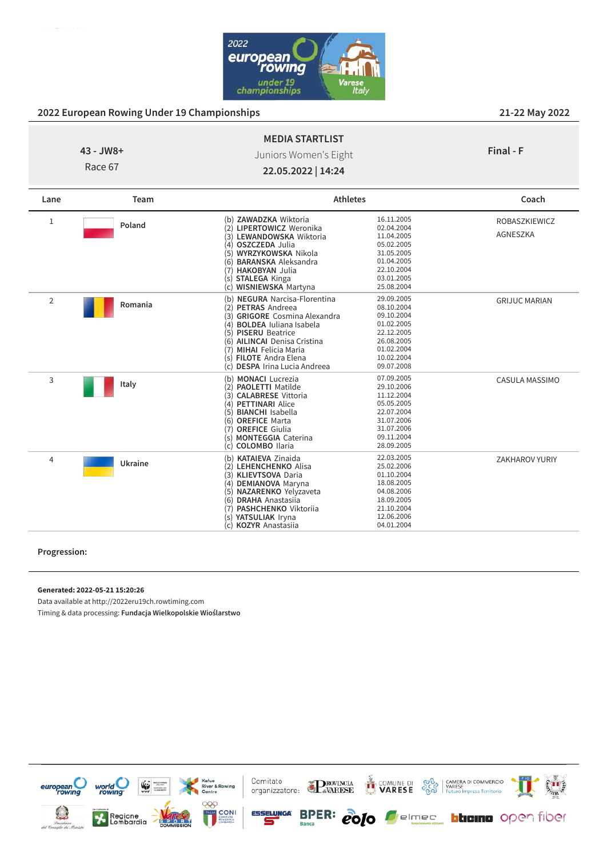

|           | <b>MEDIA STARTLIST</b> |           |
|-----------|------------------------|-----------|
| 43 - JW8+ | Juniors Women's Eight  | Final - F |
| Race 67   | 22.05.2022   14:24     |           |

| Lane | Team    | <b>Athletes</b>                                                                                                                                                                                                                                                                                                      |                                                                                                                            | Coach                                   |
|------|---------|----------------------------------------------------------------------------------------------------------------------------------------------------------------------------------------------------------------------------------------------------------------------------------------------------------------------|----------------------------------------------------------------------------------------------------------------------------|-----------------------------------------|
| 1    | Poland  | (b) ZAWADZKA Wiktoria<br>(2) LIPERTOWICZ Weronika<br>(3) LEWANDOWSKA Wiktoria<br><b>OSZCZEDA</b> Julia<br>(4)<br>(5) WYRZYKOWSKA Nikola<br><b>BARANSKA</b> Aleksandra<br>(6)<br><b>HAKOBYAN Julia</b><br>(7)<br><b>STALEGA Kinga</b><br>(s)<br>(c) WISNIEWSKA Martyna                                                | 16.11.2005<br>02.04.2004<br>11.04.2005<br>05.02.2005<br>31.05.2005<br>01.04.2005<br>22.10.2004<br>03.01.2005<br>25.08.2004 | <b>ROBASZKIEWICZ</b><br><b>AGNESZKA</b> |
| 2    | Romania | (b) NEGURA Narcisa-Florentina<br><b>PETRAS Andreea</b><br>(2)<br><b>GRIGORE</b> Cosmina Alexandra<br>(3)<br><b>BOLDEA</b> Iuliana Isabela<br>(4)<br>(5) PISERU Beatrice<br>(6) AILINCAI Denisa Cristina<br><b>MIHAI Felicia Maria</b><br><b>FILOTE</b> Andra Elena<br>(s)<br><b>DESPA Irina Lucia Andreea</b><br>(c) | 29.09.2005<br>08.10.2004<br>09.10.2004<br>01.02.2005<br>22.12.2005<br>26.08.2005<br>01.02.2004<br>10.02.2004<br>09.07.2008 | <b>GRIJUC MARIAN</b>                    |
| 3    | Italy   | (b) <b>MONACI</b> Lucrezia<br>(2) <b>PAOLETTI</b> Matilde<br><b>CALABRESE Vittoria</b><br>(4) <b>PETTINARI</b> Alice<br><b>BIANCHI</b> Isabella<br>(5)<br>(6) OREFICE Marta<br><b>OREFICE Giulia</b><br>(7)<br><b>MONTEGGIA Caterina</b><br>(s)<br><b>COLOMBO</b> Ilaria<br>(c)                                      | 07.09.2005<br>29.10.2006<br>11.12.2004<br>05.05.2005<br>22.07.2004<br>31.07.2006<br>31.07.2006<br>09.11.2004<br>28.09.2005 | CASULA MASSIMO                          |
| 4    | Ukraine | (b) KATAIEVA Zinaida<br>(2) LEHENCHENKO Alisa<br>(3) KLIEVTSOVA Daria<br><b>DEMIANOVA Maryna</b><br>(4)<br><b>NAZARENKO</b> Yelyzaveta<br>(5)<br>(6) DRAHA Anastasija<br><b>PASHCHENKO</b> Viktorija<br>(7)<br>(s) YATSULIAK Iryna<br>(c) KOZYR Anastasija                                                           | 22.03.2005<br>25.02.2006<br>01.10.2004<br>18.08.2005<br>04.08.2006<br>18.09.2005<br>21.10.2004<br>12.06.2006<br>04.01.2004 | <b>ZAKHAROV YURIY</b>                   |

### **Progression:**

#### **Generated: 2022-05-21 15:20:26**

Data available at http://2022eru19ch.rowtiming.com

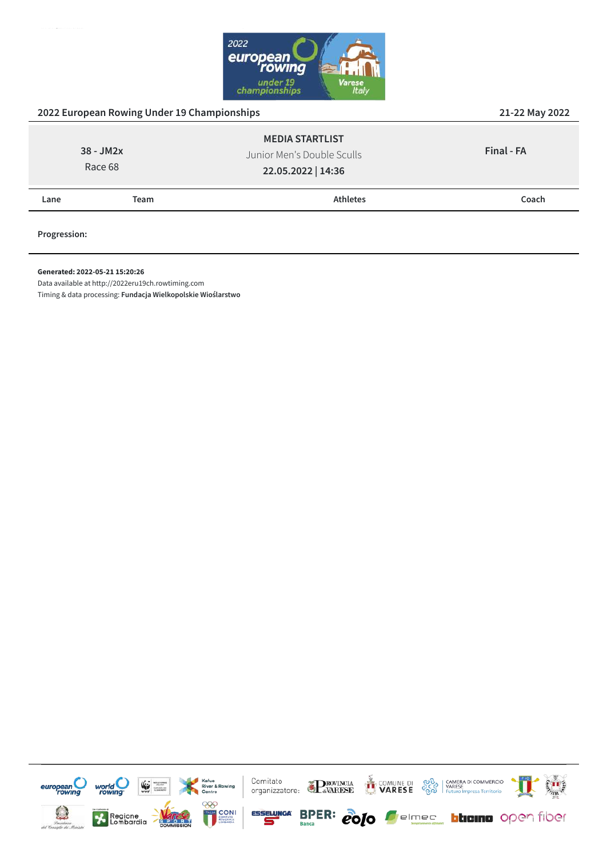

|              | 2022 European Rowing Under 19 Championships |                                                                            | 21-22 May 2022 |
|--------------|---------------------------------------------|----------------------------------------------------------------------------|----------------|
|              | $38 - JM2x$<br>Race 68                      | <b>MEDIA STARTLIST</b><br>Junior Men's Double Sculls<br>22.05.2022   14:36 | Final - FA     |
| Lane         | Team                                        | <b>Athletes</b>                                                            | Coach          |
| Progression: |                                             |                                                                            |                |

Data available at http://2022eru19ch.rowtiming.com

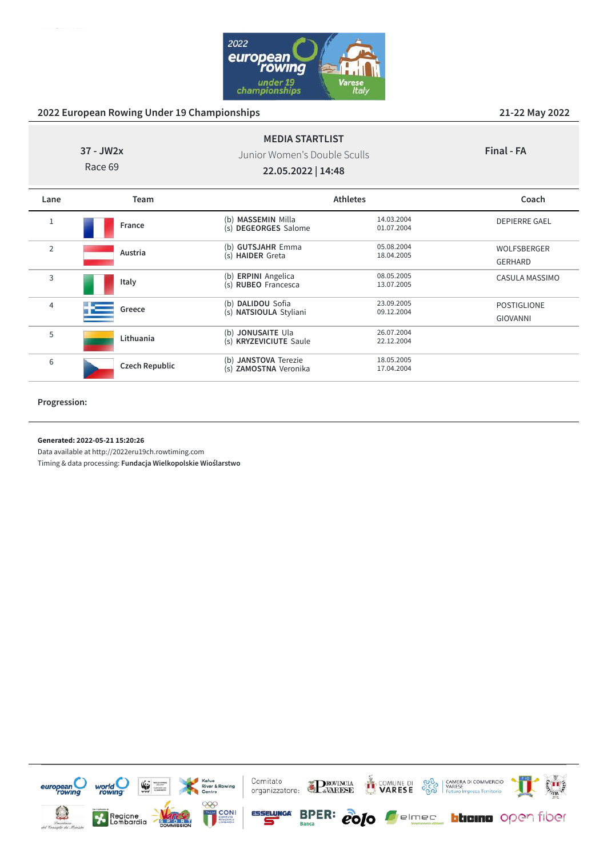

**Final - FA**

|           | MEDIA STARTLIST              |
|-----------|------------------------------|
| 37 - JW2x | Junior Women's Double Sculls |
| Race 69   | $22.05.2022$ 14.48           |

### **22.05.2022 | 14:48**

| Lane           | Team                  |                                               | <b>Athletes</b>          | Coach                                 |
|----------------|-----------------------|-----------------------------------------------|--------------------------|---------------------------------------|
| 1              | France                | (b) MASSEMIN Milla<br>(s) DEGEORGES Salome    | 14.03.2004<br>01.07.2004 | <b>DEPIERRE GAEL</b>                  |
| $\overline{2}$ | Austria               | (b) GUTSJAHR Emma<br>(s) HAIDER Greta         | 05.08.2004<br>18.04.2005 | <b>WOLFSBERGER</b><br><b>GERHARD</b>  |
| 3              | Italy                 | (b) ERPINI Angelica<br>(s) RUBEO Francesca    | 08.05.2005<br>13.07.2005 | CASULA MASSIMO                        |
| $\overline{4}$ | Greece                | (b) DALIDOU Sofia<br>(s) NATSIOULA Styliani   | 23.09.2005<br>09.12.2004 | <b>POSTIGLIONE</b><br><b>GIOVANNI</b> |
| 5              | Lithuania             | (b) JONUSAITE Ula<br>(s) KRYZEVICIUTE Saule   | 26.07.2004<br>22.12.2004 |                                       |
| 6              | <b>Czech Republic</b> | (b) JANSTOVA Terezie<br>(s) ZAMOSTNA Veronika | 18.05.2005<br>17.04.2004 |                                       |

#### **Progression:**

**Generated: 2022-05-21 15:20:26**

Data available at http://2022eru19ch.rowtiming.com